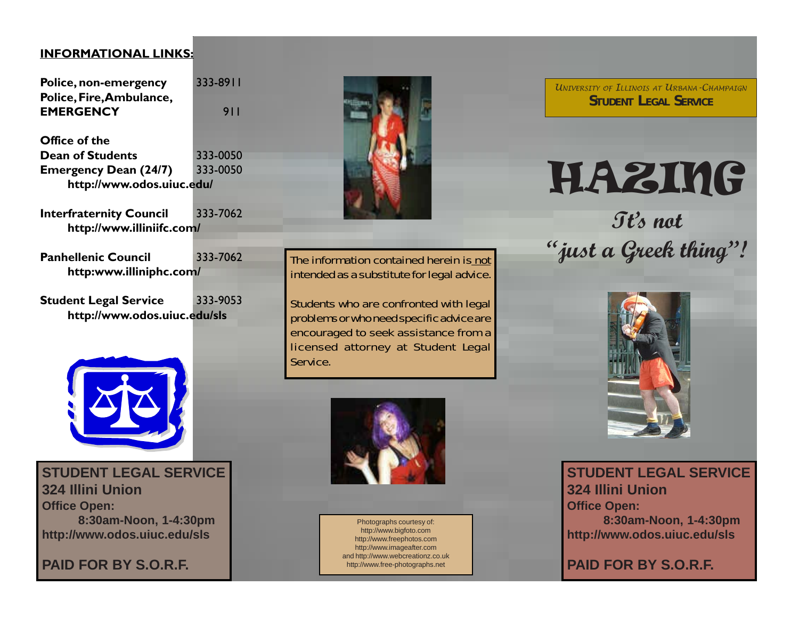#### **INFORMATIONAL LINKS:**

**Police, non-emergency** 333-8911 **Police, Fire, Ambulance, EMERGENCY** 911

**Office of the Dean of Students** 333-0050 **Emergency Dean (24/7)** 333-0050 **http://www.odos.uiuc.edu/**

**Interfraternity Council 333-7062 http://www.illiniifc.com/**

Panhellenic Council 333-7062 **http:www.illiniphc.com/**

**Student Legal Service** 333-9053 **http://www.odos.uiuc.edu/sls**



**STUDENT LEGAL SERVICE 324 Illini Union Office Open: 8:30am-Noon, 1-4:30pm http://www.odos.uiuc.edu/sls**

**PAID FOR BY S.O.R.F.**



Students who are confronted with legal problems or who need specific advice are encouraged to seek assistance from a licensed attorney at Student Legal Service.



Photographs courtesy of: http://www.bigfoto.com http://www.freephotos.com http://www.imageafter.com and http://www.webcreationz.co.uk http://www.free-photographs.net

*UNIVERSITY OF ILLINOIS AT URBANA-CHAMPAIGN* **STUDENT LEGAL SERVICE**

# HAZING

**Tt's not "just a Greek thing"!**



**STUDENT LEGAL SERVICE 324 Illini Union Office Open: 8:30am-Noon, 1-4:30pm http://www.odos.uiuc.edu/sls**

**PAID FOR BY S.O.R.F.**